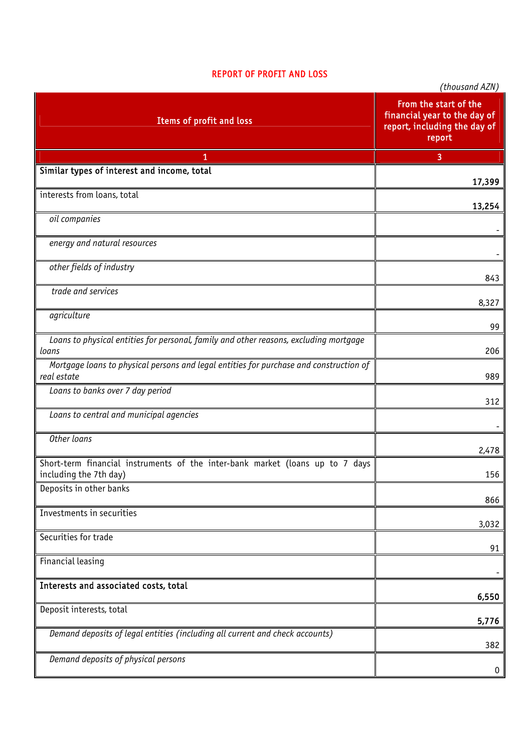## REPORT OF PROFIT AND LOSS

|                                                                                                         | (thousand AZN)                                                                                  |
|---------------------------------------------------------------------------------------------------------|-------------------------------------------------------------------------------------------------|
| Items of profit and loss                                                                                | From the start of the<br>financial year to the day of<br>report, including the day of<br>report |
| 1                                                                                                       | 3                                                                                               |
| Similar types of interest and income, total                                                             | 17,399                                                                                          |
| interests from loans, total                                                                             | 13,254                                                                                          |
| oil companies                                                                                           |                                                                                                 |
| energy and natural resources                                                                            |                                                                                                 |
| other fields of industry                                                                                | 843                                                                                             |
| trade and services                                                                                      | 8,327                                                                                           |
| agriculture                                                                                             | 99                                                                                              |
| Loans to physical entities for personal, family and other reasons, excluding mortgage<br>loans          | 206                                                                                             |
| Mortgage loans to physical persons and legal entities for purchase and construction of<br>real estate   | 989                                                                                             |
| Loans to banks over 7 day period                                                                        | 312                                                                                             |
| Loans to central and municipal agencies                                                                 |                                                                                                 |
| Other loans                                                                                             | 2,478                                                                                           |
| Short-term financial instruments of the inter-bank market (loans up to 7 days<br>including the 7th day) | 156                                                                                             |
| Deposits in other banks                                                                                 | 866                                                                                             |
| Investments in securities                                                                               | 3,032                                                                                           |
| Securities for trade                                                                                    | 91                                                                                              |
| Financial leasing                                                                                       |                                                                                                 |
| Interests and associated costs, total                                                                   | 6,550                                                                                           |
| Deposit interests, total                                                                                | 5,776                                                                                           |
| Demand deposits of legal entities (including all current and check accounts)                            | 382                                                                                             |
| Demand deposits of physical persons                                                                     | 0                                                                                               |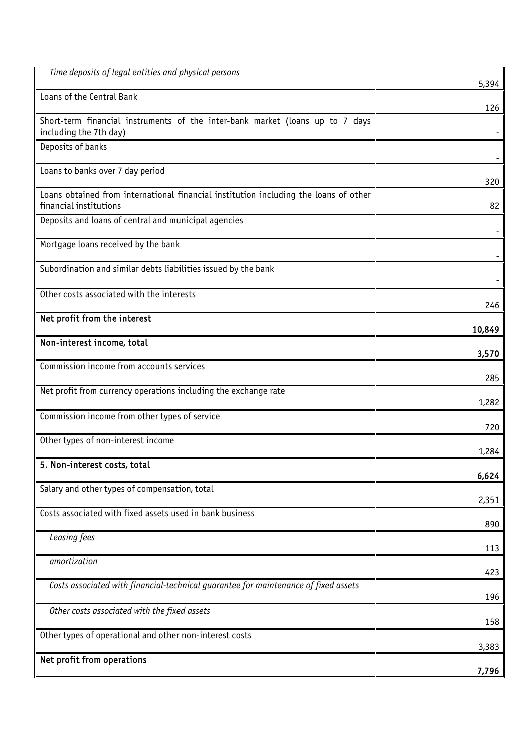| Time deposits of legal entities and physical persons                                                           | 5,394  |
|----------------------------------------------------------------------------------------------------------------|--------|
| Loans of the Central Bank                                                                                      | 126    |
| Short-term financial instruments of the inter-bank market (loans up to 7 days<br>including the 7th day)        |        |
| Deposits of banks                                                                                              |        |
| Loans to banks over 7 day period                                                                               | 320    |
| Loans obtained from international financial institution including the loans of other<br>financial institutions | 82     |
| Deposits and loans of central and municipal agencies                                                           |        |
| Mortgage loans received by the bank                                                                            |        |
| Subordination and similar debts liabilities issued by the bank                                                 |        |
| Other costs associated with the interests                                                                      | 246    |
| Net profit from the interest                                                                                   | 10,849 |
| Non-interest income, total                                                                                     | 3,570  |
| Commission income from accounts services                                                                       | 285    |
| Net profit from currency operations including the exchange rate                                                | 1,282  |
| Commission income from other types of service                                                                  | 720    |
| Other types of non-interest income                                                                             | 1,284  |
| 5. Non-interest costs, total                                                                                   | 6,624  |
| Salary and other types of compensation, total                                                                  | 2,351  |
| Costs associated with fixed assets used in bank business                                                       | 890    |
| Leasing fees                                                                                                   | 113    |
| amortization                                                                                                   | 423    |
| Costs associated with financial-technical guarantee for maintenance of fixed assets                            | 196    |
| Other costs associated with the fixed assets                                                                   | 158    |
| Other types of operational and other non-interest costs                                                        | 3,383  |
| Net profit from operations                                                                                     | 7,796  |